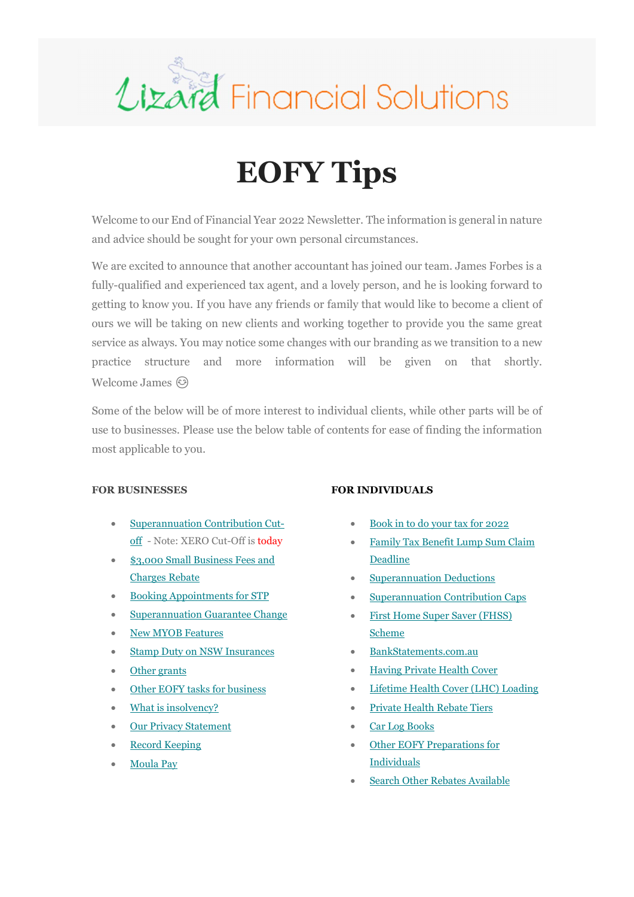

## EOFY Tips

Welcome to our End of Financial Year 2022 Newsletter. The information is general in nature and advice should be sought for your own personal circumstances.

We are excited to announce that another accountant has joined our team. James Forbes is a fully-qualified and experienced tax agent, and a lovely person, and he is looking forward to getting to know you. If you have any friends or family that would like to become a client of ours we will be taking on new clients and working together to provide you the same great service as always. You may notice some changes with our branding as we transition to a new practice structure and more information will be given on that shortly. Welcome James  $\odot$ 

Some of the below will be of more interest to individual clients, while other parts will be of use to businesses. Please use the below table of contents for ease of finding the information most applicable to you.

## FOR BUSINESSES

- Superannuation Contribution Cutoff - Note: XERO Cut-Off is today
- \$3,000 Small Business Fees and Charges Rebate
- Booking Appointments for STP
- Superannuation Guarantee Change
- New MYOB Features
- Stamp Duty on NSW Insurances
- Other grants
- Other EOFY tasks for business
- What is insolvency?
- Our Privacy Statement
- Record Keeping
- Moula Pay

## FOR INDIVIDUALS

- Book in to do your tax for 2022
- Family Tax Benefit Lump Sum Claim Deadline
- Superannuation Deductions
- Superannuation Contribution Caps
- First Home Super Saver (FHSS) Scheme
- BankStatements.com.au
- Having Private Health Cover
- Lifetime Health Cover (LHC) Loading
- Private Health Rebate Tiers
- Car Log Books
- Other EOFY Preparations for Individuals
- Search Other Rebates Available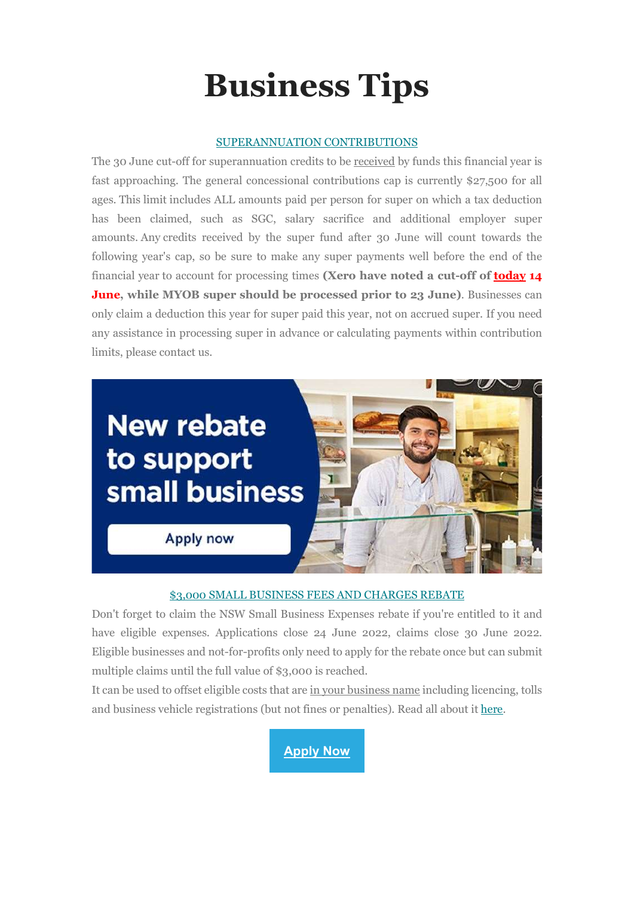# Business Tips

## SUPERANNUATION CONTRIBUTIONS

The 30 June cut-off for superannuation credits to be received by funds this financial year is fast approaching. The general concessional contributions cap is currently \$27,500 for all ages. This limit includes ALL amounts paid per person for super on which a tax deduction has been claimed, such as SGC, salary sacrifice and additional employer super amounts. Any credits received by the super fund after 30 June will count towards the following year's cap, so be sure to make any super payments well before the end of the financial year to account for processing times (Xero have noted a cut-off of today 14 **June,** while MYOB super should be processed prior to 23 June). Businesses can only claim a deduction this year for super paid this year, not on accrued super. If you need any assistance in processing super in advance or calculating payments within contribution limits, please contact us.



## \$3,000 SMALL BUSINESS FEES AND CHARGES REBATE

Don't forget to claim the NSW Small Business Expenses rebate if you're entitled to it and have eligible expenses. Applications close 24 June 2022, claims close 30 June 2022. Eligible businesses and not-for-profits only need to apply for the rebate once but can submit multiple claims until the full value of \$3,000 is reached.

It can be used to offset eligible costs that are in your business name including licencing, tolls and business vehicle registrations (but not fines or penalties). Read all about it here.

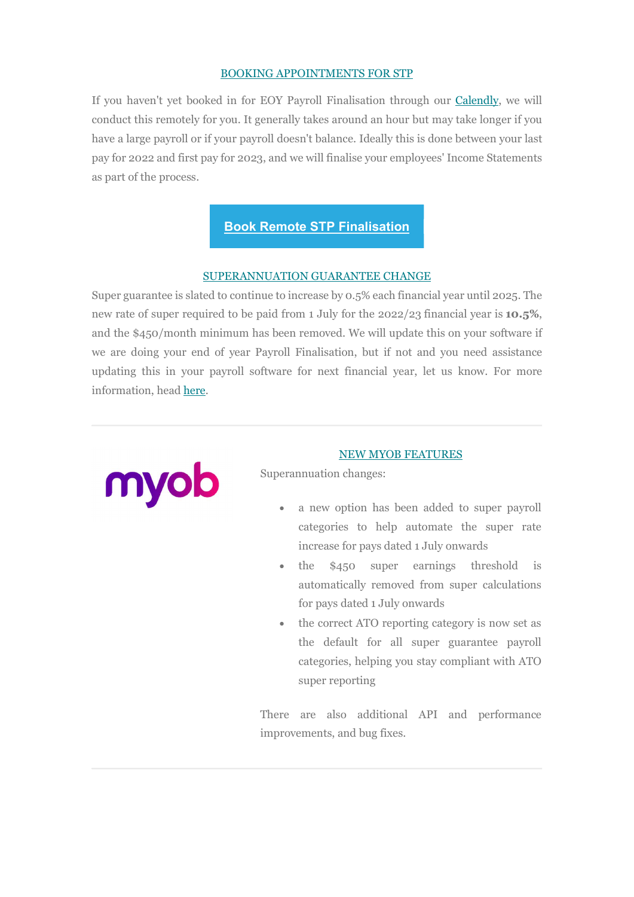## BOOKING APPOINTMENTS FOR STP

If you haven't yet booked in for EOY Payroll Finalisation through our Calendly, we will conduct this remotely for you. It generally takes around an hour but may take longer if you have a large payroll or if your payroll doesn't balance. Ideally this is done between your last pay for 2022 and first pay for 2023, and we will finalise your employees' Income Statements as part of the process.

## Book Remote STP Finalisation

## SUPERANNUATION GUARANTEE CHANGE

Super guarantee is slated to continue to increase by 0.5% each financial year until 2025. The new rate of super required to be paid from 1 July for the 2022/23 financial year is 10.5%, and the \$450/month minimum has been removed. We will update this on your software if we are doing your end of year Payroll Finalisation, but if not and you need assistance updating this in your payroll software for next financial year, let us know. For more information, head here.



## NEW MYOB FEATURES

Superannuation changes:

- a new option has been added to super payroll categories to help automate the super rate increase for pays dated 1 July onwards
- the \$450 super earnings threshold is automatically removed from super calculations for pays dated 1 July onwards
- the correct ATO reporting category is now set as the default for all super guarantee payroll categories, helping you stay compliant with ATO super reporting

There are also additional API and performance improvements, and bug fixes.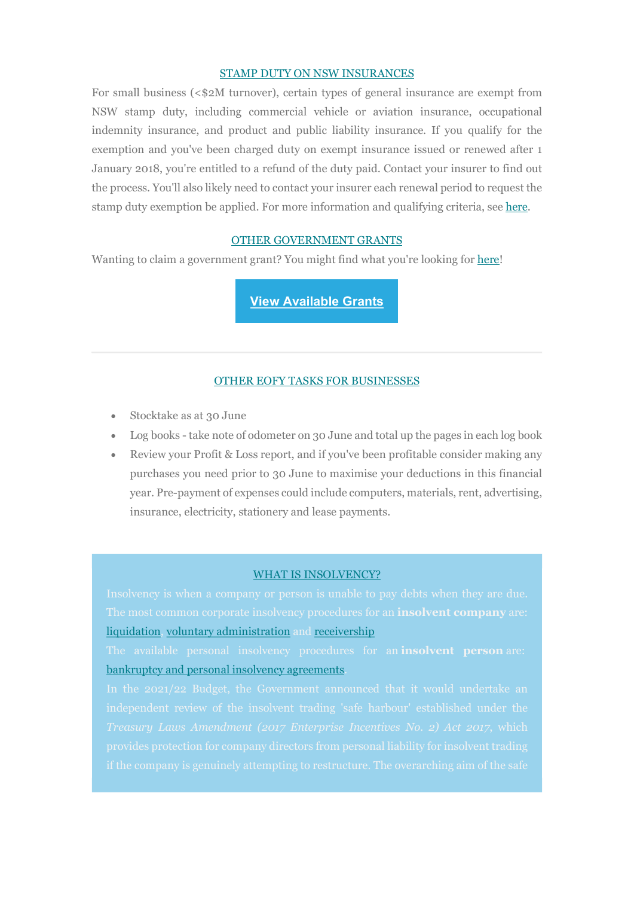#### STAMP DUTY ON NSW INSURANCES

For small business (<\$2M turnover), certain types of general insurance are exempt from NSW stamp duty, including commercial vehicle or aviation insurance, occupational indemnity insurance, and product and public liability insurance. If you qualify for the exemption and you've been charged duty on exempt insurance issued or renewed after 1 January 2018, you're entitled to a refund of the duty paid. Contact your insurer to find out the process. You'll also likely need to contact your insurer each renewal period to request the stamp duty exemption be applied. For more information and qualifying criteria, see here.

## OTHER GOVERNMENT GRANTS

Wanting to claim a government grant? You might find what you're looking for here!

View Available Grants

## OTHER EOFY TASKS FOR BUSINESSES

- Stocktake as at 30 June
- Log books take note of odometer on 30 June and total up the pages in each log book
- Review your Profit & Loss report, and if you've been profitable consider making any purchases you need prior to 30 June to maximise your deductions in this financial year. Pre-payment of expenses could include computers, materials, rent, advertising, insurance, electricity, stationery and lease payments.

#### WHAT IS INSOLVENCY?

The most common corporate insolvency procedures for an **insolvent company** are: liquidation, voluntary administration and receivership

bankruptcy and personal insolvency agreements.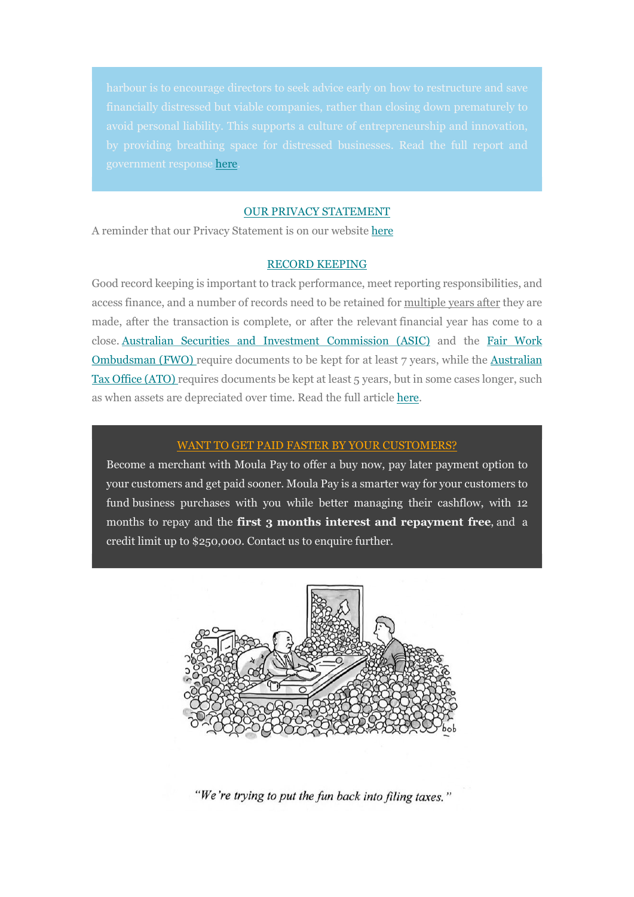government response here.

#### OUR PRIVACY STATEMENT

A reminder that our Privacy Statement is on our website here

## RECORD KEEPING

Good record keeping is important to track performance, meet reporting responsibilities, and access finance, and a number of records need to be retained for multiple years after they are made, after the transaction is complete, or after the relevant financial year has come to a close. Australian Securities and Investment Commission (ASIC) and the Fair Work Ombudsman (FWO) require documents to be kept for at least 7 years, while the Australian Tax Office (ATO) requires documents be kept at least 5 years, but in some cases longer, such as when assets are depreciated over time. Read the full article here.

## WANT TO GET PAID FASTER BY YOUR CUSTOMERS?

Become a merchant with Moula Pay to offer a buy now, pay later payment option to your customers and get paid sooner. Moula Pay is a smarter way for your customers to fund business purchases with you while better managing their cashflow, with 12 months to repay and the first 3 months interest and repayment free, and a credit limit up to \$250,000. Contact us to enquire further.



"We're trying to put the fun back into filing taxes."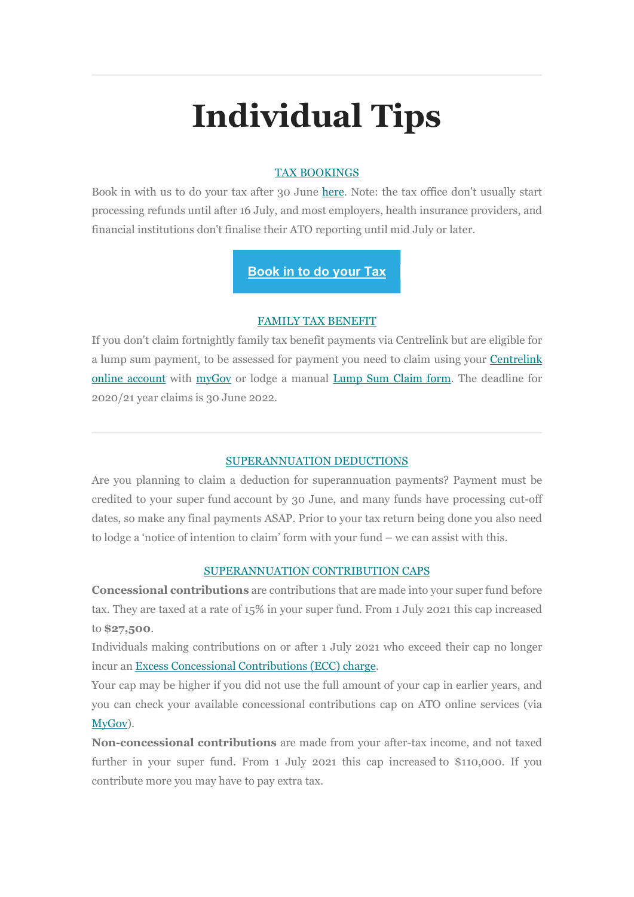# Individual Tips

## TAX BOOKINGS

Book in with us to do your tax after 30 June here. Note: the tax office don't usually start processing refunds until after 16 July, and most employers, health insurance providers, and financial institutions don't finalise their ATO reporting until mid July or later.

## Book in to do your Tax

## FAMILY TAX BENEFIT

If you don't claim fortnightly family tax benefit payments via Centrelink but are eligible for a lump sum payment, to be assessed for payment you need to claim using your Centrelink online account with myGov or lodge a manual Lump Sum Claim form. The deadline for 2020/21 year claims is 30 June 2022.

## SUPERANNUATION DEDUCTIONS

Are you planning to claim a deduction for superannuation payments? Payment must be credited to your super fund account by 30 June, and many funds have processing cut-off dates, so make any final payments ASAP. Prior to your tax return being done you also need to lodge a 'notice of intention to claim' form with your fund – we can assist with this.

## SUPERANNUATION CONTRIBUTION CAPS

Concessional contributions are contributions that are made into your super fund before tax. They are taxed at a rate of 15% in your super fund. From 1 July 2021 this cap increased to \$27,500.

Individuals making contributions on or after 1 July 2021 who exceed their cap no longer incur an Excess Concessional Contributions (ECC) charge.

Your cap may be higher if you did not use the full amount of your cap in earlier years, and you can check your available concessional contributions cap on ATO online services (via MyGov).

Non-concessional contributions are made from your after-tax income, and not taxed further in your super fund. From 1 July 2021 this cap increased to \$110,000. If you contribute more you may have to pay extra tax.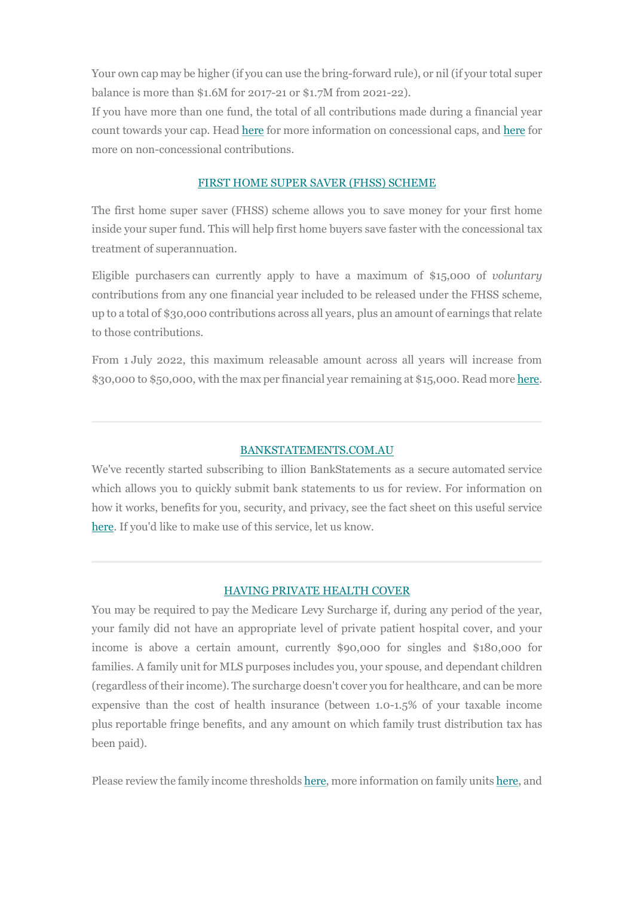Your own cap may be higher (if you can use the bring-forward rule), or nil (if your total super balance is more than \$1.6M for 2017-21 or \$1.7M from 2021-22).

If you have more than one fund, the total of all contributions made during a financial year count towards your cap. Head here for more information on concessional caps, and here for more on non-concessional contributions.

## FIRST HOME SUPER SAVER (FHSS) SCHEME

The first home super saver (FHSS) scheme allows you to save money for your first home inside your super fund. This will help first home buyers save faster with the concessional tax treatment of superannuation.

Eligible purchasers can currently apply to have a maximum of \$15,000 of voluntary contributions from any one financial year included to be released under the FHSS scheme, up to a total of \$30,000 contributions across all years, plus an amount of earnings that relate to those contributions.

From 1 July 2022, this maximum releasable amount across all years will increase from \$30,000 to \$50,000, with the max per financial year remaining at \$15,000. Read more here.

## BANKSTATEMENTS.COM.AU

We've recently started subscribing to illion BankStatements as a secure automated service which allows you to quickly submit bank statements to us for review. For information on how it works, benefits for you, security, and privacy, see the fact sheet on this useful service here. If you'd like to make use of this service, let us know.

## HAVING PRIVATE HEALTH COVER

You may be required to pay the Medicare Levy Surcharge if, during any period of the year, your family did not have an appropriate level of private patient hospital cover, and your income is above a certain amount, currently \$90,000 for singles and \$180,000 for families. A family unit for MLS purposes includes you, your spouse, and dependant children (regardless of their income). The surcharge doesn't cover you for healthcare, and can be more expensive than the cost of health insurance (between 1.0-1.5% of your taxable income plus reportable fringe benefits, and any amount on which family trust distribution tax has been paid).

Please review the family income thresholds here, more information on family units here, and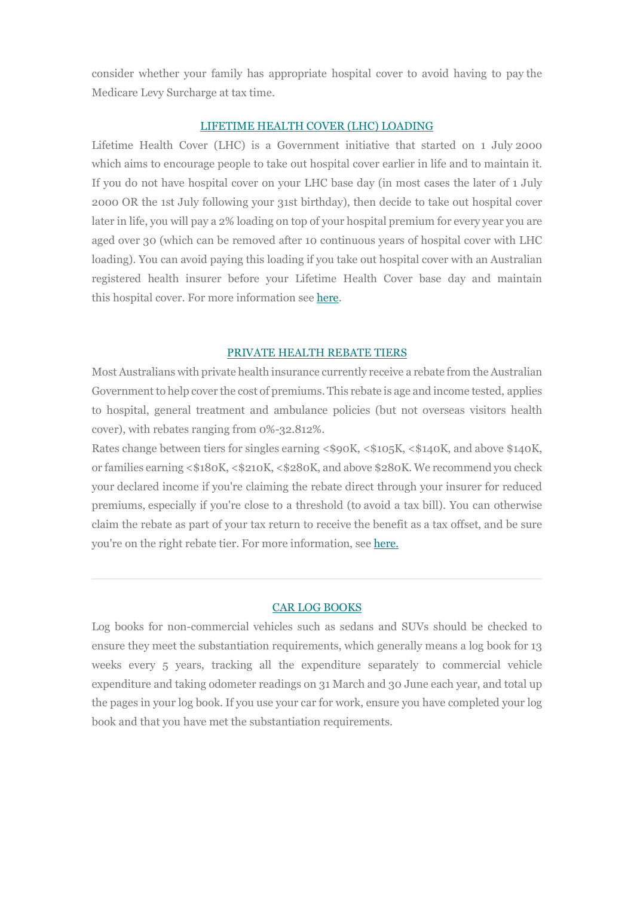consider whether your family has appropriate hospital cover to avoid having to pay the Medicare Levy Surcharge at tax time.

## LIFETIME HEALTH COVER (LHC) LOADING

Lifetime Health Cover (LHC) is a Government initiative that started on 1 July 2000 which aims to encourage people to take out hospital cover earlier in life and to maintain it. If you do not have hospital cover on your LHC base day (in most cases the later of 1 July 2000 OR the 1st July following your 31st birthday), then decide to take out hospital cover later in life, you will pay a 2% loading on top of your hospital premium for every year you are aged over 30 (which can be removed after 10 continuous years of hospital cover with LHC loading). You can avoid paying this loading if you take out hospital cover with an Australian registered health insurer before your Lifetime Health Cover base day and maintain this hospital cover. For more information see here.

#### PRIVATE HEALTH REBATE TIERS

Most Australians with private health insurance currently receive a rebate from the Australian Government to help cover the cost of premiums. This rebate is age and income tested, applies to hospital, general treatment and ambulance policies (but not overseas visitors health cover), with rebates ranging from 0%-32.812%.

Rates change between tiers for singles earning <\$90K, <\$105K, <\$140K, and above \$140K, or families earning <\$180K, <\$210K, <\$280K, and above \$280K. We recommend you check your declared income if you're claiming the rebate direct through your insurer for reduced premiums, especially if you're close to a threshold (to avoid a tax bill). You can otherwise claim the rebate as part of your tax return to receive the benefit as a tax offset, and be sure you're on the right rebate tier. For more information, see here.

## CAR LOG BOOKS

Log books for non-commercial vehicles such as sedans and SUVs should be checked to ensure they meet the substantiation requirements, which generally means a log book for 13 weeks every 5 years, tracking all the expenditure separately to commercial vehicle expenditure and taking odometer readings on 31 March and 30 June each year, and total up the pages in your log book. If you use your car for work, ensure you have completed your log book and that you have met the substantiation requirements.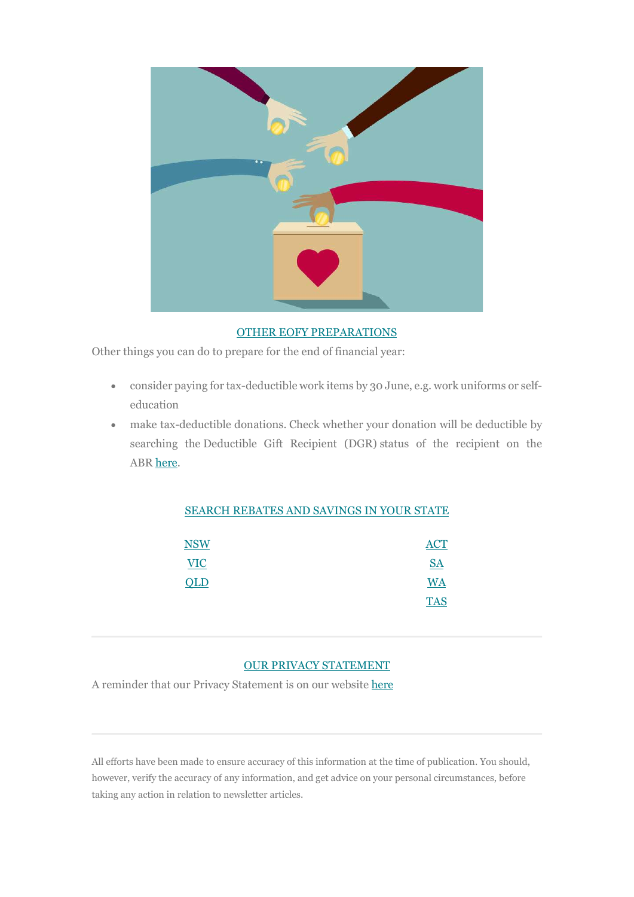

## OTHER EOFY PREPARATIONS

Other things you can do to prepare for the end of financial year:

- consider paying for tax-deductible work items by 30 June, e.g. work uniforms or selfeducation
- make tax-deductible donations. Check whether your donation will be deductible by searching the Deductible Gift Recipient (DGR) status of the recipient on the ABR here.

## SEARCH REBATES AND SAVINGS IN YOUR STATE

| <b>NSW</b> | <b>ACT</b>        |
|------------|-------------------|
| <b>VIC</b> | $S\!\!\!\!\Delta$ |
| QLD        | <b>WA</b>         |
|            | <b>TAS</b>        |

## OUR PRIVACY STATEMENT

A reminder that our Privacy Statement is on our website here

All efforts have been made to ensure accuracy of this information at the time of publication. You should, however, verify the accuracy of any information, and get advice on your personal circumstances, before taking any action in relation to newsletter articles.